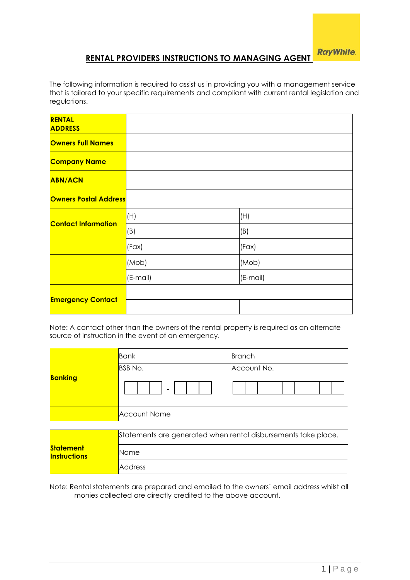# **RENTAL PROVIDERS INSTRUCTIONS TO MANAGING AGENT**

The following information is required to assist us in providing you with a management service that is tailored to your specific requirements and compliant with current rental legislation and regulations.

| <b>RENTAL</b><br><b>ADDRESS</b> |          |          |
|---------------------------------|----------|----------|
| <b>Owners Full Names</b>        |          |          |
| <b>Company Name</b>             |          |          |
| <b>ABN/ACN</b>                  |          |          |
| <b>Owners Postal Address</b>    |          |          |
| <b>Contact Information</b>      | (H)      | (H)      |
|                                 | (B)      | (B)      |
|                                 | (Fax)    | (Fax)    |
|                                 | (Mob)    | (Mob)    |
|                                 | (E-mail) | (E-mail) |
|                                 |          |          |
| <b>Emergency Contact</b>        |          |          |

Note: A contact other than the owners of the rental property is required as an alternate source of instruction in the event of an emergency.

|                | Bank                                                           | Branch      |  |
|----------------|----------------------------------------------------------------|-------------|--|
|                | <b>BSB</b> No.                                                 | Account No. |  |
| <b>Banking</b> |                                                                |             |  |
|                | <b>Account Name</b>                                            |             |  |
|                |                                                                |             |  |
|                | Statements are generated when rental disbursements take place. |             |  |

|                                         | Statements are generated when rental disbursements take place. |
|-----------------------------------------|----------------------------------------------------------------|
| <b>Statement</b><br><b>Instructions</b> | Name                                                           |
|                                         | <b>Address</b>                                                 |

Note: Rental statements are prepared and emailed to the owners' email address whilst all monies collected are directly credited to the above account.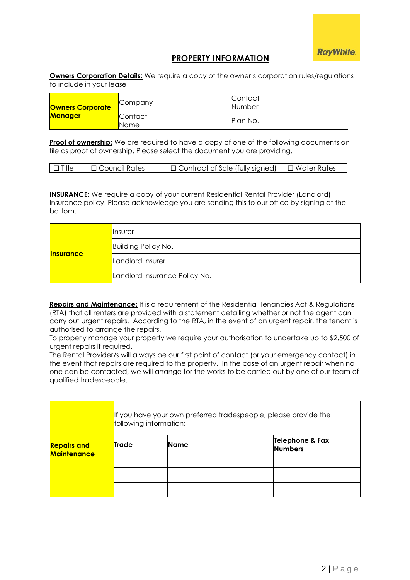## **PROPERTY INFORMATION**

**Owners Corporation Details:** We require a copy of the owner's corporation rules/regulations to include in your lease

| <b>Owners Corporate</b><br><b>Manager</b> | <b>Company</b>  | <b>Contact</b><br>Number |
|-------------------------------------------|-----------------|--------------------------|
|                                           | Contact<br>Name | Plan No.                 |

**Proof of ownership:** We are required to have a copy of one of the following documents on file as proof of ownership. Please select the document you are providing.

| $\mathsf{I} \mathsf{I}$ Title<br>$\Box$ Contract of Sale (fully signed)<br>コ Water Rates<br>I □ Council Rates |  |
|---------------------------------------------------------------------------------------------------------------|--|
|---------------------------------------------------------------------------------------------------------------|--|

**INSURANCE:** We require a copy of your current Residential Rental Provider (Landlord) Insurance policy. Please acknowledge you are sending this to our office by signing at the bottom.

| <b>Insurance</b> | <b>Insurer</b>                |
|------------------|-------------------------------|
|                  | <b>Building Policy No.</b>    |
|                  | Landlord Insurer              |
|                  | Landlord Insurance Policy No. |

**Repairs and Maintenance:** It is a requirement of the Residential Tenancies Act & Regulations (RTA) that all renters are provided with a statement detailing whether or not the agent can carry out urgent repairs. According to the RTA, in the event of an urgent repair, the tenant is authorised to arrange the repairs.

To properly manage your property we require your authorisation to undertake up to \$2,500 of urgent repairs if required.

The Rental Provider/s will always be our first point of contact (or your emergency contact) in the event that repairs are required to the property. In the case of an urgent repair when no one can be contacted, we will arrange for the works to be carried out by one of our team of qualified tradespeople.

| <b>Repairs and</b><br><b>Maintenance</b> | If you have your own preferred tradespeople, please provide the<br>following information: |             |                                   |
|------------------------------------------|-------------------------------------------------------------------------------------------|-------------|-----------------------------------|
|                                          | <b>Trade</b>                                                                              | <b>Name</b> | Telephone & Fax<br><b>Numbers</b> |
|                                          |                                                                                           |             |                                   |
|                                          |                                                                                           |             |                                   |
|                                          |                                                                                           |             |                                   |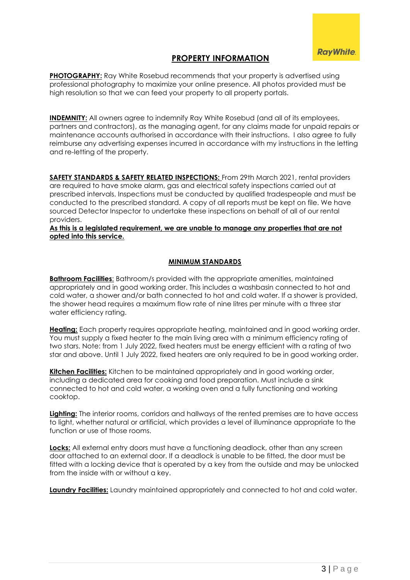## **PROPERTY INFORMATION**

**PHOTOGRAPHY:** Ray White Rosebud recommends that your property is advertised using professional photography to maximize your online presence. All photos provided must be high resolution so that we can feed your property to all property portals.

**INDEMNITY:** All owners agree to indemnify Ray White Rosebud (and all of its employees, partners and contractors), as the managing agent, for any claims made for unpaid repairs or maintenance accounts authorised in accordance with their instructions. I also agree to fully reimburse any advertising expenses incurred in accordance with my instructions in the letting and re-letting of the property.

**SAFETY STANDARDS & SAFETY RELATED INSPECTIONS:** From 29th March 2021, rental providers are required to have smoke alarm, gas and electrical safety inspections carried out at prescribed intervals. Inspections must be conducted by qualified tradespeople and must be conducted to the prescribed standard. A copy of all reports must be kept on file. We have sourced Detector Inspector to undertake these inspections on behalf of all of our rental providers.

#### **As this is a legislated requirement, we are unable to manage any properties that are not opted into this service.**

### **MINIMUM STANDARDS**

**Bathroom Facilities**: Bathroom/s provided with the appropriate amenities, maintained appropriately and in good working order. This includes a washbasin connected to hot and cold water, a shower and/or bath connected to hot and cold water. If a shower is provided, the shower head requires a maximum flow rate of nine litres per minute with a three star water efficiency rating.

**Heating:** Each property requires appropriate heating, maintained and in good working order. You must supply a fixed heater to the main living area with a minimum efficiency rating of two stars. Note: from 1 July 2022, fixed heaters must be energy efficient with a rating of two star and above. Until 1 July 2022, fixed heaters are only required to be in good working order.

**Kitchen Facilities:** Kitchen to be maintained appropriately and in good working order, including a dedicated area for cooking and food preparation. Must include a sink connected to hot and cold water, a working oven and a fully functioning and working cooktop.

**Lighting:** The interior rooms, corridors and hallways of the rented premises are to have access to light, whether natural or artificial, which provides a level of illuminance appropriate to the function or use of those rooms.

**Locks:** All external entry doors must have a functioning deadlock, other than any screen door attached to an external door. If a deadlock is unable to be fitted, the door must be fitted with a locking device that is operated by a key from the outside and may be unlocked from the inside with or without a key.

**Laundry Facilities:** Laundry maintained appropriately and connected to hot and cold water.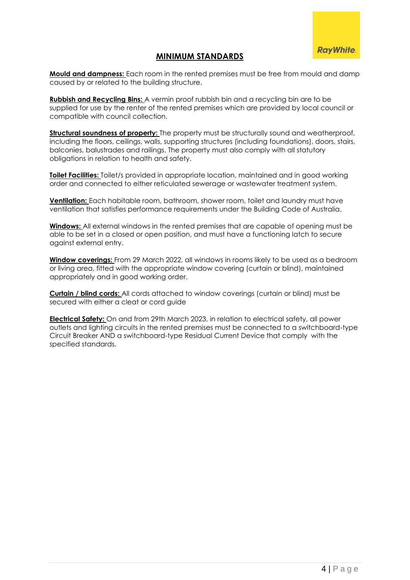## **MINIMUM STANDARDS**

**Mould and dampness:** Each room in the rented premises must be free from mould and damp caused by or related to the building structure.

**Rubbish and Recycling Bins:** A vermin proof rubbish bin and a recycling bin are to be supplied for use by the renter of the rented premises which are provided by local council or compatible with council collection.

**Structural soundness of property:** The property must be structurally sound and weatherproof, including the floors, ceilings, walls, supporting structures (including foundations), doors, stairs, balconies, balustrades and railings. The property must also comply with all statutory obligations in relation to health and safety.

**Toilet Facilities:** Toilet/s provided in appropriate location, maintained and in good working order and connected to either reticulated sewerage or wastewater treatment system.

**Ventilation:** Each habitable room, bathroom, shower room, toilet and laundry must have ventilation that satisfies performance requirements under the Building Code of Australia.

**Windows:** All external windows in the rented premises that are capable of opening must be able to be set in a closed or open position, and must have a functioning latch to secure against external entry.

**Window coverings:** From 29 March 2022, all windows in rooms likely to be used as a bedroom or living area, fitted with the appropriate window covering (curtain or blind), maintained appropriately and in good working order.

**Curtain / blind cords:** All cords attached to window coverings (curtain or blind) must be secured with either a cleat or cord guide

**Electrical Safety:** On and from 29th March 2023, in relation to electrical safety, all power outlets and lighting circuits in the rented premises must be connected to a switchboard-type Circuit Breaker AND a switchboard-type Residual Current Device that comply with the specified standards.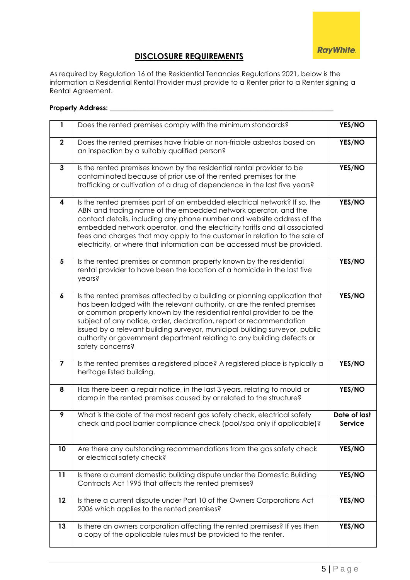

# **DISCLOSURE REQUIREMENTS**

As required by Regulation 16 of the Residential Tenancies Regulations 2021, below is the information a Residential Rental Provider must provide to a Renter prior to a Renter signing a Rental Agreement.

### **Property Address:** \_\_\_\_\_\_\_\_\_\_\_\_\_\_\_\_\_\_\_\_\_\_\_\_\_\_\_\_\_\_\_\_\_\_\_\_\_\_\_\_\_\_\_\_\_\_\_\_\_\_\_\_\_\_\_\_\_\_\_\_\_\_\_\_\_

| 1                       | Does the rented premises comply with the minimum standards?                                                                                                                                                                                                                                                                                                                                                                                                                        | YES/NO                         |
|-------------------------|------------------------------------------------------------------------------------------------------------------------------------------------------------------------------------------------------------------------------------------------------------------------------------------------------------------------------------------------------------------------------------------------------------------------------------------------------------------------------------|--------------------------------|
| $\mathbf{2}$            | Does the rented premises have friable or non-friable asbestos based on<br>an inspection by a suitably qualified person?                                                                                                                                                                                                                                                                                                                                                            | YES/NO                         |
| $\mathbf{3}$            | Is the rented premises known by the residential rental provider to be<br>contaminated because of prior use of the rented premises for the<br>trafficking or cultivation of a drug of dependence in the last five years?                                                                                                                                                                                                                                                            | YES/NO                         |
| 4                       | Is the rented premises part of an embedded electrical network? If so, the<br>ABN and trading name of the embedded network operator, and the<br>contact details, including any phone number and website address of the<br>embedded network operator, and the electricity tariffs and all associated<br>fees and charges that may apply to the customer in relation to the sale of<br>electricity, or where that information can be accessed must be provided.                       | YES/NO                         |
| $5\phantom{1}$          | Is the rented premises or common property known by the residential<br>rental provider to have been the location of a homicide in the last five<br>years?                                                                                                                                                                                                                                                                                                                           | YES/NO                         |
| $\boldsymbol{6}$        | Is the rented premises affected by a building or planning application that<br>has been lodged with the relevant authority, or are the rented premises<br>or common property known by the residential rental provider to be the<br>subject of any notice, order, declaration, report or recommendation<br>issued by a relevant building surveyor, municipal building surveyor, public<br>authority or government department relating to any building defects or<br>safety concerns? | YES/NO                         |
| $\overline{\mathbf{z}}$ | Is the rented premises a registered place? A registered place is typically a<br>heritage listed building.                                                                                                                                                                                                                                                                                                                                                                          | YES/NO                         |
| 8                       | Has there been a repair notice, in the last 3 years, relating to mould or<br>damp in the rented premises caused by or related to the structure?                                                                                                                                                                                                                                                                                                                                    | YES/NO                         |
| 9                       | What is the date of the most recent gas safety check, electrical safety<br>check and pool barrier compliance check (pool/spa only if applicable)?                                                                                                                                                                                                                                                                                                                                  | Date of last<br><b>Service</b> |
| 10                      | Are there any outstanding recommendations from the gas safety check<br>or electrical safety check?                                                                                                                                                                                                                                                                                                                                                                                 | YES/NO                         |
| 11                      | Is there a current domestic building dispute under the Domestic Building<br>Contracts Act 1995 that affects the rented premises?                                                                                                                                                                                                                                                                                                                                                   | YES/NO                         |
| 12                      | Is there a current dispute under Part 10 of the Owners Corporations Act<br>2006 which applies to the rented premises?                                                                                                                                                                                                                                                                                                                                                              | YES/NO                         |
| 13                      | Is there an owners corporation affecting the rented premises? If yes then<br>a copy of the applicable rules must be provided to the renter.                                                                                                                                                                                                                                                                                                                                        | YES/NO                         |